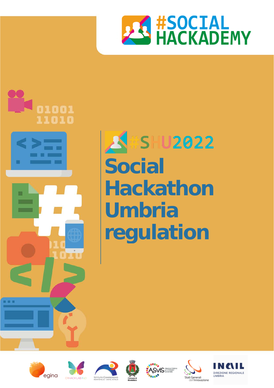



# **ASHU2022 Social Hackathon Umbria regulation**











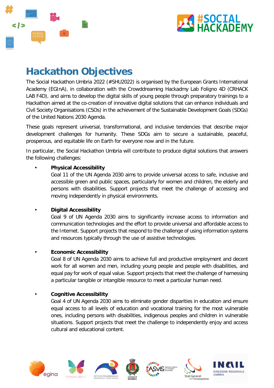



## **Hackathon Objectives**

The Social Hackathon Umbria 2022 (#SHU2022) is organised by the European Grants International Academy (EGInA), in collaboration with the Crowddreaming Hackadmy Lab Foligno 4D (CRHACK LAB F4D), and aims to develop the digital skills of young people through preparatory trainings to a Hackathon aimed at the co-creation of innovative digital solutions that can enhance individuals and Civil Society Organisations (CSOs) in the achievement of the Sustainable Development Goals (SDGs) of the United Nations 2030 Agenda.

These goals represent universal, transformational, and inclusive tendencies that describe major development challenges for humanity. These SDGs aim to secure a sustainable, peaceful, prosperous, and equitable life on Earth for everyone now and in the future.

In particular, the Social Hackathon Umbria will contribute to produce digital solutions that answers the following challenges:

### • **Physical Accessibility**

Goal 11 of the UN Agenda 2030 aims to provide universal access to safe, inclusive and accessible green and public spaces, particularly for women and children, the elderly and persons with disabilities. Support projects that meet the challenge of accessing and moving independently in physical environments.

### • **Digital Accessibility**

Goal 9 of UN Agenda 2030 aims to significantly increase access to information and communication technologies and the effort to provide universal and affordable access to the Internet. Support projects that respond to the challenge of using information systems and resources typically through the use of assistive technologies.

### • **Economic Accessibility**

Goal 8 of UN Agenda 2030 aims to achieve full and productive employment and decent work for all women and men, including young people and people with disabilities, and equal pay for work of equal value. Support projects that meet the challenge of harnessing a particular tangible or intangible resource to meet a particular human need.

### • **Cognitive Accessibility**

Goal 4 of UN Agenda 2030 aims to eliminate gender disparities in education and ensure equal access to all levels of education and vocational training for the most vulnerable ones, including persons with disabilities, indigenous peoples and children in vulnerable situations. Support projects that meet the challenge to independently enjoy and access cultural and educational content.











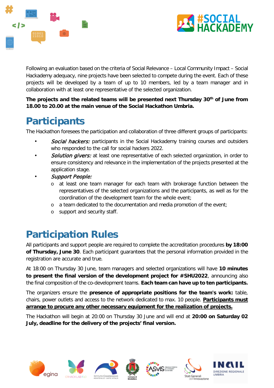



Following an evaluation based on the criteria of Social Relevance – Local Community Impact – Social Hackademy adequacy, nine projects have been selected to compete during the event. Each of these projects will be developed by a team of up to 10 members, led by a team manager and in collaboration with at least one representative of the selected organization.

**The projects and the related teams will be presented next Thursday 30th of June from 18.00 to 20.00 at the main venue of the Social Hackathon Umbria.**

# **Participants**

The Hackathon foresees the participation and collaboration of three different groups of participants:

- **Social hackers:** participants in the Social Hackademy training courses and outsiders who responded to the call for social hackers 2022.
- **Solution givers:** at least one representative of each selected organization, in order to ensure consistency and relevance in the implementation of the projects presented at the application stage.
- Support People:
	- o at least one team manager for each team with brokerage function between the representatives of the selected organizations and the participants, as well as for the coordination of the development team for the whole event;
	- o a team dedicated to the documentation and media promotion of the event;
	- o support and security staff.

# **Participation Rules**

All participants and support people are required to complete the accreditation procedures **by 18:00 of Thursday, June 30**. Each participant guarantees that the personal information provided in the registration are accurate and true.

At 18:00 on Thursday 30 June, team managers and selected organizations will have **10 minutes to present the final version of the development project for #SHU2022**, announcing also the final composition of the co-development teams. **Each team can have up to ten participants.** 

The organizers ensure the **presence of appropriate positions for the team's work:** table, chairs, power outlets and access to the network dedicated to max. 10 people. **Participants must arrange to procure any other necessary equipment for the realization of projects.**

The Hackathon will begin at 20:00 on Thursday 30 June and will end at **20:00 on Saturday 02 July, deadline for the delivery of the projects' final version.**











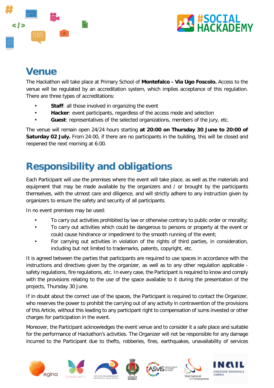



# **Venue**

The Hackathon will take place at Primary School of **Montefalco - Via Ugo Foscolo.** Access to the venue will be regulated by an accreditation system, which implies acceptance of this regulation. There are three types of accreditations:

- **Staff:** all those involved in organizing the event
- Hacker: event participants, regardless of the access mode and selection
- **Guest**: representatives of the selected organizations, members of the jury, etc.

The venue will remain open 24/24 hours starting **at 20:00 on Thursday 30 June to 20:00 of Saturday 02 July.** From 24:00, if there are no participants in the building, this will be closed and reopened the next morning at 6:00.

# **Responsibility and obligations**

Each Participant will use the premises where the event will take place, as well as the materials and equipment that may be made available by the organizers and / or brought by the participants themselves, with the utmost care and diligence, and will strictly adhere to any instruction given by organizers to ensure the safety and security of all participants.

In no event premises may be used:

- To carry out activities prohibited by law or otherwise contrary to public order or morality;
- To carry out activities which could be dangerous to persons or property at the event or could cause hindrance or impediment to the smooth running of the event;
- For carrying out activities in violation of the rights of third parties, in consideration, including but not limited to trademarks, patents, copyright, etc.

It is agreed between the parties that participants are required to use spaces in accordance with the instructions and directives given by the organizer, as well as to any other regulation applicable safety regulations, fire regulations, etc. In every case, the Participant is required to know and comply with the provisions relating to the use of the space available to it during the presentation of the projects, Thursday 30 June.

If in doubt about the correct use of the spaces, the Participant is required to contact the Organizer, who reserves the power to prohibit the carrying out of any activity in contravention of the provisions of this Article, without this leading to any participant right to compensation of sums invested or other charges for participation in the event.

Moreover, the Participant acknowledges the event venue and to consider it a safe place and suitable for the performance of Hackathon's activities. The Organizer will not be responsible for any damage incurred to the Participant due to thefts, robberies, fires, earthquakes, unavailability of services











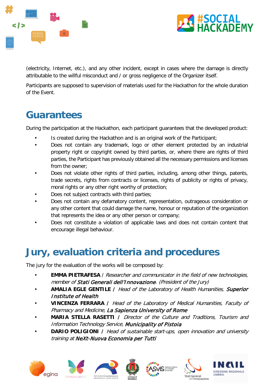



(electricity, Internet, etc.), and any other incident, except in cases where the damage is directly attributable to the willful misconduct and / or gross negligence of the Organizer itself.

Participants are supposed to supervision of materials used for the Hackathon for the whole duration of the Event.

# **Guarantees**

During the participation at the Hackathon, each participant guarantees that the developed product:

- Is created during the Hackathon and is an original work of the Participant;
- Does not contain any trademark, logo or other element protected by an industrial property right or copyright owned by third parties, or, where there are rights of third parties, the Participant has previously obtained all the necessary permissions and licenses from the owner;
- Does not violate other rights of third parties, including, among other things, patents, trade secrets, rights from contracts or licenses, rights of publicity or rights of privacy, moral rights or any other right worthy of protection;
- Does not subject contracts with third parties;
- Does not contain any defamatory content, representation, outrageous consideration or any other content that could damage the name, honour or reputation of the organization that represents the idea or any other person or company;
- Does not constitute a violation of applicable laws and does not contain content that encourage illegal behaviour.

# **Jury, evaluation criteria and procedures**

The jury for the evaluation of the works will be composed by:

- **EMMA PIETRAFESA** / Researcher and communicator in the field of new technologies, member of Stati Generali dell'Innovazione. (President of the Jury)
- **AMALIA EGLE GENTILE /** Head of the Laboratory of Health Humanities, Superior Institute of Health
- **VINCENZA FERRARA /** Head of the Laboratory of Medical Humanities, Faculty of Pharmacy and Medicine, La Sapienza University of Rome
- **MARIA STELLA RASETTI /** Director of the Culture and Traditions, Tourism and Information Technology Service, Municipality of Pistoia
- **DARIO POLIGIONI** / Head of sustainable start-ups, open innovation and university training at NeXt-Nuova Economia per Tutti











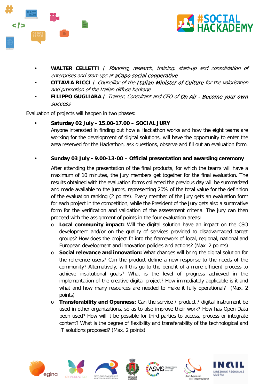



- **WALTER CELLETTI /** Planning, research, training, start-up and consolidation of enterprises and start-ups at aCapo social cooperative
- **OTTAVIA RICCI /** Councillor of the Italian Minister of Culture for the valorisation and promotion of the Italian diffuse heritage
- **FILIPPO GUGLIARA /** Trainer, Consultant and CEO of On Air Become your own success

Evaluation of projects will happen in two phases:

- **Saturday 02 July - 15.00-17.00 – SOCIAL JURY** Anyone interested in finding out how a Hackathon works and how the eight teams are working for the development of digital solutions, will have the opportunity to enter the area reserved for the Hackathon, ask questions, observe and fill out an evaluation form.
- **Sunday 03 July - 9.00-13-00 – Official presentation and awarding ceremony**

After attending the presentation of the final products, for which the teams will have a maximum of 10 minutes, the jury members get together for the final evaluation. The results obtained with the evaluation forms collected the previous day will be summarized and made available to the jurors, representing 20% of the total value for the definition of the evaluation ranking (2 points). Every member of the jury gets an evaluation form for each project in the competition, while the President of the Jury gets also a summative form for the verification and validation of the assessment criteria. The jury can then proceed with the assignment of points in the four evaluation areas:

- o **Local community impact:** Will the digital solution have an impact on the CSO development and/or on the quality of services provided to disadvantaged target groups? How does the project fit into the framework of local, regional, national and European development and innovation policies and actions? (Max. 2 points)
- o **Social relevance and innovation:** What changes will bring the digital solution for the reference users? Can the product define a new response to the needs of the community? Alternatively, will this go to the benefit of a more efficient process to achieve institutional goals? What is the level of progress achieved in the implementation of the creative digital project? How immediately applicable is it and what and how many resources are needed to make it fully operational? (Max. 2 points)
- o **Transferability and Openness:** Can the service / product / digital instrument be used in other organizations, so as to also improve their work? How has Open Data been used? How will it be possible for third parties to access, process or integrate content? What is the degree of flexibility and transferability of the technological and IT solutions proposed? (Max. 2 points)











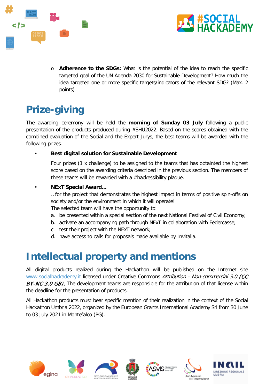



o **Adherence to the SDGs:** What is the potential of the idea to reach the specific targeted goal of the UN Agenda 2030 for Sustainable Development? How much the idea targeted one or more specific targets/indicators of the relevant SDG? (Max. 2 points)

# **Prize-giving**

The awarding ceremony will be held the **morning of Sunday 03 July** following a public presentation of the products produced during #SHU2022. Based on the scores obtained with the combined evaluation of the Social and the Expert Jurys, the best teams will be awarded with the following prizes.

### • **Best digital solution for Sustainable Development**

Four prizes (1 x challenge) to be assigned to the teams that has obtainted the highest score based on the awarding criteria described in the previous section. The members of these teams will be rewarded with a #hackessibility plaque.

### • **NExT Special Award…**

…for the project that demonstrates the highest impact in terms of positive spin-offs on society and/or the environment in which it will operate!

The selected team will have the opportunity to:

- a. be presented within a special section of the next National Festival of Civil Economy;
- b. activate an accompanying path through NExT in collaboration with Federcasse;
- c. test their project with the NExT network;
- d. have access to calls for proposals made available by Invitalia.

## **Intellectual property and mentions**

All digital products realized during the Hackathon will be published on the Internet site [www.socialhackademy.it](http://www.socialhackademy.it/) licensed under Creative Commons Attribution - Non-commercial 3.0 (CC BY-NC 3.0 GB). The development teams are responsible for the attribution of that license within the deadline for the presentation of products.

All Hackathon products must bear specific mention of their realization in the context of the Social Hackathon Umbria 2022, organized by the European Grants International Academy Srl from 30 June to 03 July 2021 in Montefalco (PG).